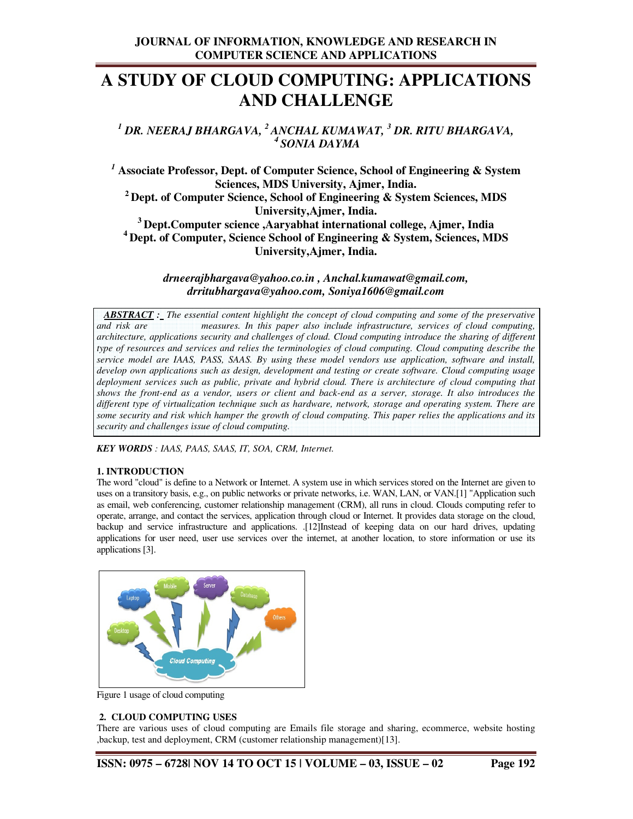# **A STUDY OF CLOUD COMPUTING: APPLICATIONS AND CHALLENGE**

*1 DR. NEERAJ BHARGAVA, <sup>2</sup>ANCHAL KUMAWAT, <sup>3</sup> DR. RITU BHARGAVA, <sup>4</sup>SONIA DAYMA* 

*<sup>1</sup>* **Associate Professor, Dept. of Computer Science, School of Engineering & System Sciences, MDS University, Ajmer, India. <sup>2</sup>Dept. of Computer Science, School of Engineering & System Sciences, MDS University,Ajmer, India. <sup>3</sup>Dept.Computer science ,Aaryabhat international college, Ajmer, India <sup>4</sup>Dept. of Computer, Science School of Engineering & System, Sciences, MDS University,Ajmer, India.** 

> *drneerajbhargava@yahoo.co.in , Anchal.kumawat@gmail.com, drritubhargava@yahoo.com, Soniya1606@gmail.com*

 *ABSTRACT : The essential content highlight the concept of cloud computing and some of the preservative and risk are measures. In this paper also include infrastructure, services of cloud computing, architecture, applications security and challenges of cloud. Cloud computing introduce the sharing of different type of resources and services and relies the terminologies of cloud computing. Cloud computing describe the service model are IAAS, PASS, SAAS. By using these model vendors use application, software and install, develop own applications such as design, development and testing or create software. Cloud computing usage deployment services such as public, private and hybrid cloud. There is architecture of cloud computing that shows the front-end as a vendor, users or client and back-end as a server, storage. It also introduces the different type of virtualization technique such as hardware, network, storage and operating system. There are some security and risk which hamper the growth of cloud computing. This paper relies the applications and its security and challenges issue of cloud computing.* 

*KEY WORDS : IAAS, PAAS, SAAS, IT, SOA, CRM, Internet.*

#### **1. INTRODUCTION**

The word "cloud" is define to a Network or Internet. A system use in which services stored on the Internet are given to uses on a transitory basis, e.g., on public networks or private networks, i.e. WAN, LAN, or VAN.[1] "Application such as email, web conferencing, customer relationship management (CRM), all runs in cloud. Clouds computing refer to operate, arrange, and contact the services, application through cloud or Internet. It provides data storage on the cloud, backup and service infrastructure and applications. .[12]Instead of keeping data on our hard drives, updating applications for user need, user use services over the internet, at another location, to store information or use its applications [3].



Figure 1 usage of cloud computing

#### **2. CLOUD COMPUTING USES**

There are various uses of cloud computing are Emails file storage and sharing, ecommerce, website hosting ,backup, test and deployment, CRM (customer relationship management)[13].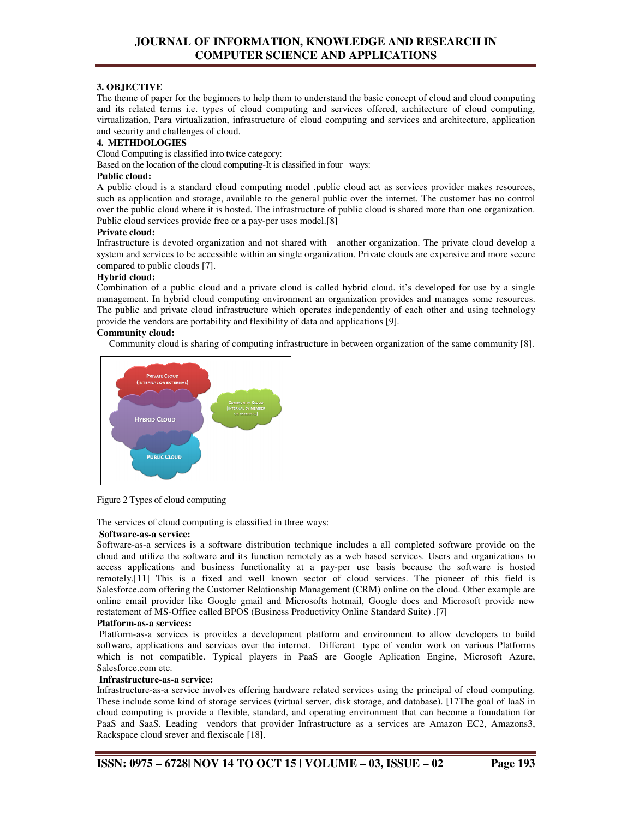# **3. OBJECTIVE**

The theme of paper for the beginners to help them to understand the basic concept of cloud and cloud computing and its related terms i.e. types of cloud computing and services offered, architecture of cloud computing, virtualization, Para virtualization, infrastructure of cloud computing and services and architecture, application and security and challenges of cloud.

## **4. METHDOLOGIES**

Cloud Computing is classified into twice category:

Based on the location of the cloud computing-It is classified in four ways:

#### **Public cloud:**

A public cloud is a standard cloud computing model .public cloud act as services provider makes resources, such as application and storage, available to the general public over the internet. The customer has no control over the public cloud where it is hosted. The infrastructure of public cloud is shared more than one organization. Public cloud services provide free or a pay-per uses model.<sup>[8]</sup>

#### **Private cloud:**

Infrastructure is devoted organization and not shared with another organization. The private cloud develop a system and services to be accessible within an single organization. Private clouds are expensive and more secure compared to public clouds [7].

#### **Hybrid cloud:**

Combination of a public cloud and a private cloud is called hybrid cloud. it's developed for use by a single management. In hybrid cloud computing environment an organization provides and manages some resources. The public and private cloud infrastructure which operates independently of each other and using technology provide the vendors are portability and flexibility of data and applications [9].

#### **Community cloud:**

Community cloud is sharing of computing infrastructure in between organization of the same community [8].



Figure 2 Types of cloud computing

The services of cloud computing is classified in three ways:

#### **Software-as-a service:**

Software-as-a services is a software distribution technique includes a all completed software provide on the cloud and utilize the software and its function remotely as a web based services. Users and organizations to access applications and business functionality at a pay-per use basis because the software is hosted remotely.[11] This is a fixed and well known sector of cloud services. The pioneer of this field is Salesforce.com offering the Customer Relationship Management (CRM) online on the cloud. Other example are online email provider like Google gmail and Microsofts hotmail, Google docs and Microsoft provide new restatement of MS-Office called BPOS (Business Productivity Online Standard Suite) .[7]

#### **Platform-as-a services:**

 Platform-as-a services is provides a development platform and environment to allow developers to build software, applications and services over the internet. Different type of vendor work on various Platforms which is not compatible. Typical players in PaaS are Google Aplication Engine, Microsoft Azure, Salesforce.com etc.

#### **Infrastructure-as-a service:**

Infrastructure-as-a service involves offering hardware related services using the principal of cloud computing. These include some kind of storage services (virtual server, disk storage, and database). [17The goal of IaaS in cloud computing is provide a flexible, standard, and operating environment that can become a foundation for PaaS and SaaS. Leading vendors that provider Infrastructure as a services are Amazon EC2, Amazons3, Rackspace cloud srever and flexiscale [18].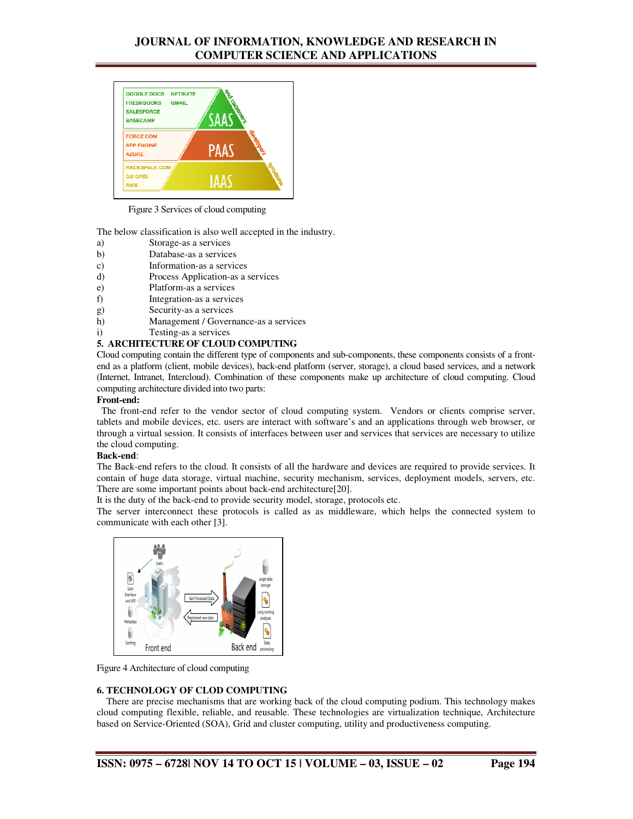

Figure 3 Services of cloud computing

The below classification is also well accepted in the industry.

- a) Storage-as a services
- b) Database-as a services
- c) Information-as a services
- d) Process Application-as a services
- e) Platform-as a services
- f) Integration-as a services
- g) Security-as a services
- h) Management / Governance-as a services
- i) Testing-as a services

#### **5. ARCHITECTURE OF CLOUD COMPUTING**

Cloud computing contain the different type of components and sub-components, these components consists of a frontend as a platform (client, mobile devices), back-end platform (server, storage), a cloud based services, and a network (Internet, Intranet, Intercloud). Combination of these components make up architecture of cloud computing. Cloud computing architecture divided into two parts:

# **Front-end:**

 The front-end refer to the vendor sector of cloud computing system. Vendors or clients comprise server, tablets and mobile devices, etc. users are interact with software's and an applications through web browser, or through a virtual session. It consists of interfaces between user and services that services are necessary to utilize the cloud computing.

#### **Back-end**:

The Back-end refers to the cloud. It consists of all the hardware and devices are required to provide services. It contain of huge data storage, virtual machine, security mechanism, services, deployment models, servers, etc. There are some important points about back-end architecture[20].

It is the duty of the back-end to provide security model, storage, protocols etc.

The server interconnect these protocols is called as as middleware, which helps the connected system to communicate with each other [3].



Figure 4 Architecture of cloud computing

#### **6. TECHNOLOGY OF CLOD COMPUTING**

 There are precise mechanisms that are working back of the cloud computing podium. This technology makes cloud computing flexible, reliable, and reusable. These technologies are virtualization technique, Architecture based on Service-Oriented (SOA), Grid and cluster computing, utility and productiveness computing.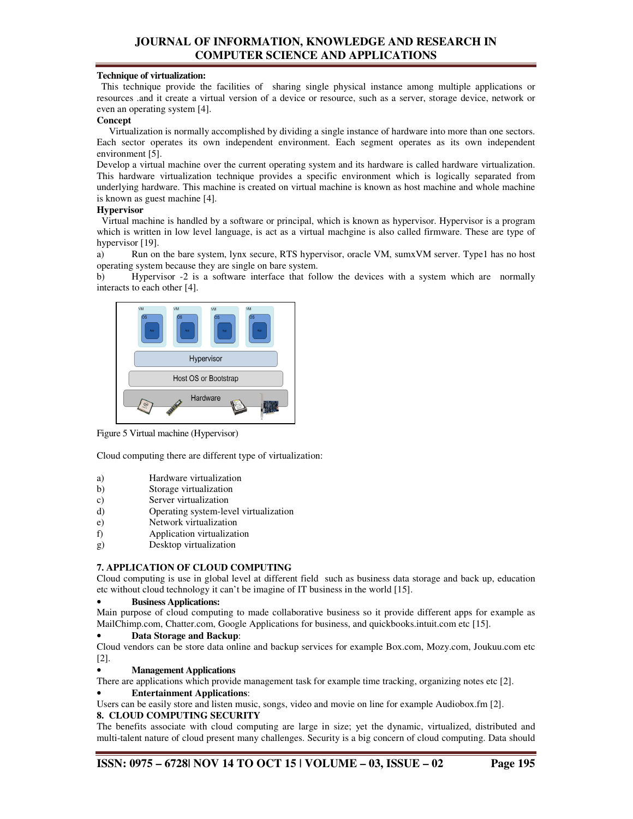#### **Technique of virtualization:**

 This technique provide the facilities of sharing single physical instance among multiple applications or resources .and it create a virtual version of a device or resource, such as a server, storage device, network or even an operating system [4].

#### **Concept**

 Virtualization is normally accomplished by dividing a single instance of hardware into more than one sectors. Each sector operates its own independent environment. Each segment operates as its own independent environment [5].

Develop a virtual machine over the current operating system and its hardware is called hardware virtualization. This hardware virtualization technique provides a specific environment which is logically separated from underlying hardware. This machine is created on virtual machine is known as host machine and whole machine is known as guest machine [4].

#### **Hypervisor**

 Virtual machine is handled by a software or principal, which is known as hypervisor. Hypervisor is a program which is written in low level language, is act as a virtual machgine is also called firmware. These are type of hypervisor [19].

a) Run on the bare system, lynx secure, RTS hypervisor, oracle VM, sumxVM server. Type1 has no host operating system because they are single on bare system.

b) Hypervisor -2 is a software interface that follow the devices with a system which are normally interacts to each other [4].



Figure 5 Virtual machine (Hypervisor)

Cloud computing there are different type of virtualization:

- a) Hardware virtualization
- b) Storage virtualization
- c) Server virtualization
- d) Operating system-level virtualization
- e) Network virtualization
- f) Application virtualization
- g) Desktop virtualization

#### **7. APPLICATION OF CLOUD COMPUTING**

Cloud computing is use in global level at different field such as business data storage and back up, education etc without cloud technology it can't be imagine of IT business in the world [15].

#### • **Business Applications:**

Main purpose of cloud computing to made collaborative business so it provide different apps for example as MailChimp.com, Chatter.com, Google Applications for business, and quickbooks.intuit.com etc [15].

#### • **Data Storage and Backup**:

Cloud vendors can be store data online and backup services for example Box.com, Mozy.com, Joukuu.com etc [2].

#### • **Management Applications**

There are applications which provide management task for example time tracking, organizing notes etc [2].

#### • **Entertainment Applications**:

Users can be easily store and listen music, songs, video and movie on line for example Audiobox.fm [2].

## **8. CLOUD COMPUTING SECURITY**

The benefits associate with cloud computing are large in size; yet the dynamic, virtualized, distributed and multi-talent nature of cloud present many challenges. Security is a big concern of cloud computing. Data should